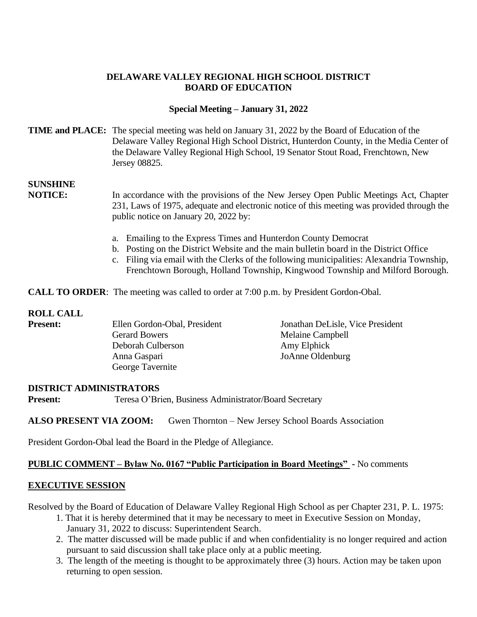## **DELAWARE VALLEY REGIONAL HIGH SCHOOL DISTRICT BOARD OF EDUCATION**

## **Special Meeting – January 31, 2022**

## **TIME and PLACE:** The special meeting was held on January 31, 2022 by the Board of Education of the Delaware Valley Regional High School District, Hunterdon County, in the Media Center of the Delaware Valley Regional High School, 19 Senator Stout Road, Frenchtown, New Jersey 08825.

# **SUNSHINE**

**NOTICE:** In accordance with the provisions of the New Jersey Open Public Meetings Act, Chapter 231, Laws of 1975, adequate and electronic notice of this meeting was provided through the public notice on January 20, 2022 by:

- a. Emailing to the Express Times and Hunterdon County Democrat
- b. Posting on the District Website and the main bulletin board in the District Office
- c. Filing via email with the Clerks of the following municipalities: Alexandria Township, Frenchtown Borough, Holland Township, Kingwood Township and Milford Borough.

**CALL TO ORDER:** The meeting was called to order at 7:00 p.m. by President Gordon-Obal.

## **ROLL CALL**

| <b>Present:</b> | Ellen Gordon-Obal, President | Jonathan DeLisle, Vice President |
|-----------------|------------------------------|----------------------------------|
|                 | <b>Gerard Bowers</b>         | Melaine Campbell                 |
|                 | Deborah Culberson            | Amy Elphick                      |
|                 | Anna Gaspari                 | JoAnne Oldenburg                 |
|                 | George Tavernite             |                                  |

#### **DISTRICT ADMINISTRATORS**

**Present:** Teresa O'Brien, Business Administrator/Board Secretary

#### **ALSO PRESENT VIA ZOOM:** Gwen Thornton – New Jersey School Boards Association

President Gordon-Obal lead the Board in the Pledge of Allegiance.

## **PUBLIC COMMENT – Bylaw No. 0167 "Public Participation in Board Meetings" -** No comments

#### **EXECUTIVE SESSION**

Resolved by the Board of Education of Delaware Valley Regional High School as per Chapter 231, P. L. 1975:

- 1. That it is hereby determined that it may be necessary to meet in Executive Session on Monday, January 31, 2022 to discuss: Superintendent Search.
- 2. The matter discussed will be made public if and when confidentiality is no longer required and action pursuant to said discussion shall take place only at a public meeting.
- 3. The length of the meeting is thought to be approximately three (3) hours. Action may be taken upon returning to open session.